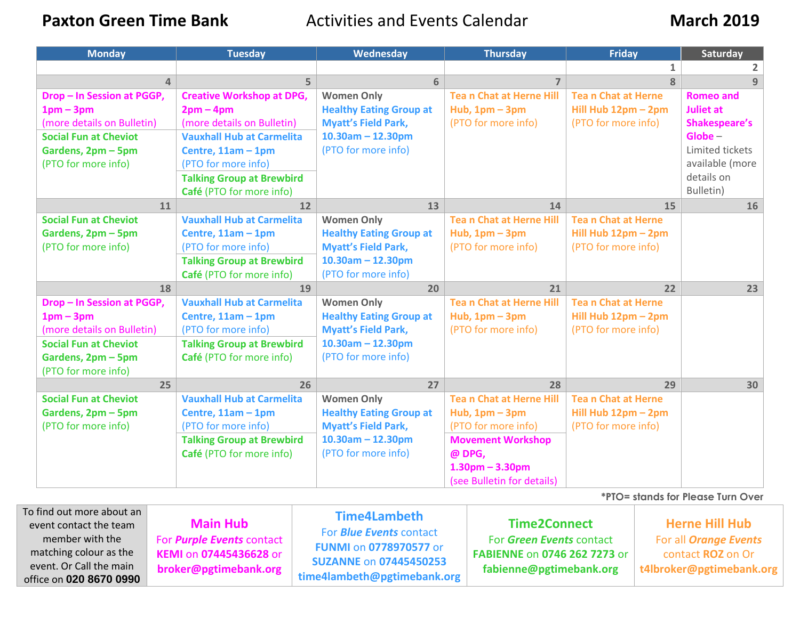**Paxton Green Time Bank Activities and Events Calendar March 2019** 

| <b>Monday</b>                | <b>Tuesday</b>                   | Wednesday                      | <b>Thursday</b>                | <b>Friday</b>             | Saturday             |
|------------------------------|----------------------------------|--------------------------------|--------------------------------|---------------------------|----------------------|
|                              |                                  |                                |                                | $\mathbf{1}$              |                      |
| $\Delta$                     | 5.                               | 6                              | $\overline{7}$                 | 8                         | 9                    |
| Drop - In Session at PGGP,   | <b>Creative Workshop at DPG,</b> | <b>Women Only</b>              | <b>Tean Chat at Herne Hill</b> | <b>Tean Chat at Herne</b> | <b>Romeo and</b>     |
| $1pm-3pm$                    | $2pm-4pm$                        | <b>Healthy Eating Group at</b> | Hub, $1pm - 3pm$               | Hill Hub 12pm - 2pm       | <b>Juliet at</b>     |
| (more details on Bulletin)   | (more details on Bulletin)       | <b>Myatt's Field Park,</b>     | (PTO for more info)            | (PTO for more info)       | <b>Shakespeare's</b> |
| <b>Social Fun at Cheviot</b> | <b>Vauxhall Hub at Carmelita</b> | $10.30$ am - 12.30pm           |                                |                           | $Globe -$            |
| Gardens, 2pm - 5pm           | Centre, $11am - 1pm$             | (PTO for more info)            |                                |                           | Limited tickets      |
| (PTO for more info)          | (PTO for more info)              |                                |                                |                           | available (more      |
|                              | <b>Talking Group at Brewbird</b> |                                |                                |                           | details on           |
|                              | Café (PTO for more info)         |                                |                                |                           | Bulletin)            |
| 11                           | 12                               | 13                             | 14                             | 15                        | 16                   |
| <b>Social Fun at Cheviot</b> | <b>Vauxhall Hub at Carmelita</b> | <b>Women Only</b>              | <b>Tean Chat at Herne Hill</b> | <b>Tean Chat at Herne</b> |                      |
| Gardens, 2pm - 5pm           | Centre, $11am - 1pm$             | <b>Healthy Eating Group at</b> | Hub, $1pm - 3pm$               | Hill Hub 12pm - 2pm       |                      |
| (PTO for more info)          | (PTO for more info)              | <b>Myatt's Field Park,</b>     | (PTO for more info)            | (PTO for more info)       |                      |
|                              | <b>Talking Group at Brewbird</b> | $10.30$ am - 12.30pm           |                                |                           |                      |
|                              | Café (PTO for more info)         | (PTO for more info)            |                                |                           |                      |
| 18                           | 19                               | 20                             | 21                             | 22                        | 23                   |
| Drop - In Session at PGGP,   | <b>Vauxhall Hub at Carmelita</b> | <b>Women Only</b>              | <b>Tean Chat at Herne Hill</b> | <b>Tean Chat at Herne</b> |                      |
| $1pm-3pm$                    | Centre, 11am - 1pm               | <b>Healthy Eating Group at</b> | Hub, $1pm - 3pm$               | Hill Hub 12pm - 2pm       |                      |
| (more details on Bulletin)   | (PTO for more info)              | <b>Myatt's Field Park,</b>     | (PTO for more info)            | (PTO for more info)       |                      |
| <b>Social Fun at Cheviot</b> | <b>Talking Group at Brewbird</b> | $10.30$ am - 12.30pm           |                                |                           |                      |
| Gardens, 2pm - 5pm           | Café (PTO for more info)         | (PTO for more info)            |                                |                           |                      |
| (PTO for more info)          |                                  |                                |                                |                           |                      |
| 25                           | 26                               | 27                             | 28                             | 29                        | 30                   |
| <b>Social Fun at Cheviot</b> | <b>Vauxhall Hub at Carmelita</b> | <b>Women Only</b>              | <b>Tean Chat at Herne Hill</b> | <b>Tean Chat at Herne</b> |                      |
| Gardens, 2pm - 5pm           | Centre, $11am - 1pm$             | <b>Healthy Eating Group at</b> | Hub, $1pm - 3pm$               | Hill Hub 12pm - 2pm       |                      |
| (PTO for more info)          | (PTO for more info)              | <b>Myatt's Field Park,</b>     | (PTO for more info)            | (PTO for more info)       |                      |
|                              | <b>Talking Group at Brewbird</b> | $10.30$ am - 12.30pm           | <b>Movement Workshop</b>       |                           |                      |
|                              | Café (PTO for more info)         | (PTO for more info)            | @ DPG,                         |                           |                      |
|                              |                                  |                                | $1.30pm - 3.30pm$              |                           |                      |
|                              |                                  |                                | (see Bulletin for details)     |                           |                      |

|                                                                                                                                                        | <i>*PTO= stands for Please Turn Over</i>                                                                      |                                                                                                                                                 |                                                                                                                   |                                                                                                        |  |  |  |
|--------------------------------------------------------------------------------------------------------------------------------------------------------|---------------------------------------------------------------------------------------------------------------|-------------------------------------------------------------------------------------------------------------------------------------------------|-------------------------------------------------------------------------------------------------------------------|--------------------------------------------------------------------------------------------------------|--|--|--|
| To find out more about an<br>event contact the team<br>member with the<br>matching colour as the<br>event. Or Call the main<br>office on 020 8670 0990 | <b>Main Hub</b><br>For <i>Purple Events</i> contact<br><b>KEMI on 07445436628 or</b><br>broker@pgtimebank.org | Time4Lambeth<br>For <i>Blue Events</i> contact<br><b>FUNMI on 0778970577 or</b><br><b>SUZANNE on 07445450253</b><br>time4lambeth@pgtimebank.org | <b>Time2Connect</b><br>For Green Events contact<br><b>FABIENNE on 0746 262 7273 or</b><br>fabienne@pgtimebank.org | <b>Herne Hill Hub</b><br>For all <i>Orange Events</i><br>contact ROZ on Or<br>t4lbroker@pgtimebank.org |  |  |  |